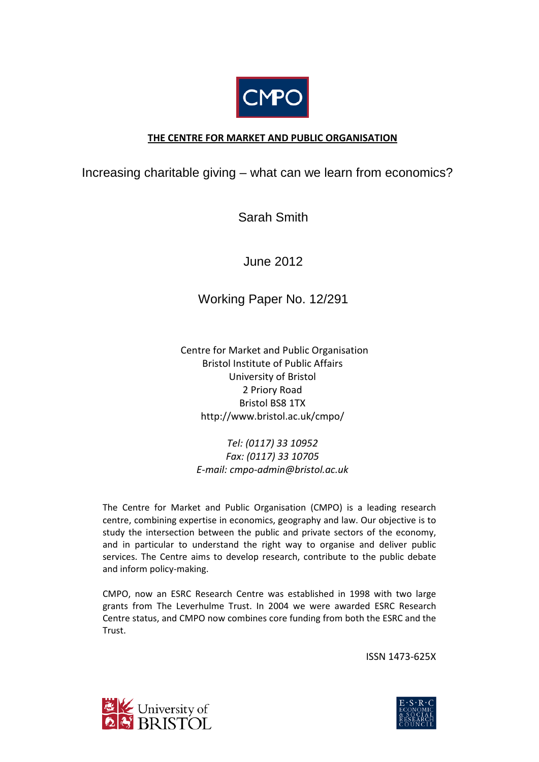

# **THE CENTRE FOR MARKET AND PUBLIC ORGANISATION**

Increasing charitable giving – what can we learn from economics?

Sarah Smith

June 2012

Working Paper No. 12/291

 Centre for Market and Public Organisation Bristol Institute of Public Affairs University of Bristol 2 Priory Road Bristol BS8 1TX http://www.bristol.ac.uk/cmpo/

*Tel: (0117) 33 10952 Fax: (0117) 33 10705 E-mail: cmpo-admin@bristol.ac.uk*

The Centre for Market and Public Organisation (CMPO) is a leading research centre, combining expertise in economics, geography and law. Our objective is to study the intersection between the public and private sectors of the economy, and in particular to understand the right way to organise and deliver public services. The Centre aims to develop research, contribute to the public debate and inform policy-making.

CMPO, now an ESRC Research Centre was established in 1998 with two large grants from The Leverhulme Trust. In 2004 we were awarded ESRC Research Centre status, and CMPO now combines core funding from both the ESRC and the Trust.

ISSN 1473-625X



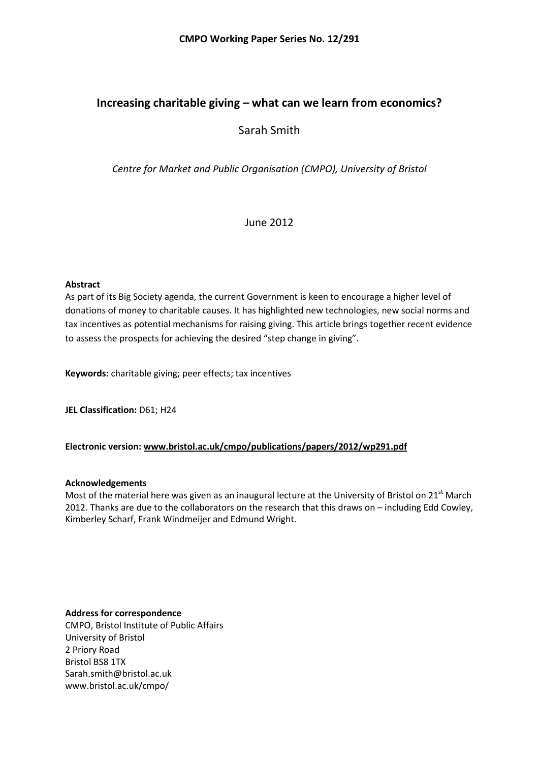# **Increasing charitable giving – what can we learn from economics?**

# Sarah Smith

*Centre for Market and Public Organisation (CMPO), University of Bristol*

June 2012

## **Abstract**

As part of its Big Society agenda, the current Government is keen to encourage a higher level of donations of money to charitable causes. It has highlighted new technologies, new social norms and tax incentives as potential mechanisms for raising giving. This article brings together recent evidence to assess the prospects for achieving the desired "step change in giving".

**Keywords:** charitable giving; peer effects; tax incentives

**JEL Classification:** D61; H24

**Electronic version: www.bristol.ac.uk/cmpo/publications/papers/2012/wp291.pdf**

## **Acknowledgements**

Most of the material here was given as an inaugural lecture at the University of Bristol on 21<sup>st</sup> March 2012. Thanks are due to the collaborators on the research that this draws on – including Edd Cowley, Kimberley Scharf, Frank Windmeijer and Edmund Wright.

**Address for correspondence**

CMPO, Bristol Institute of Public Affairs University of Bristol 2 Priory Road Bristol BS8 1TX Sarah.smith@bristol.ac.uk www.bristol.ac.uk/cmpo/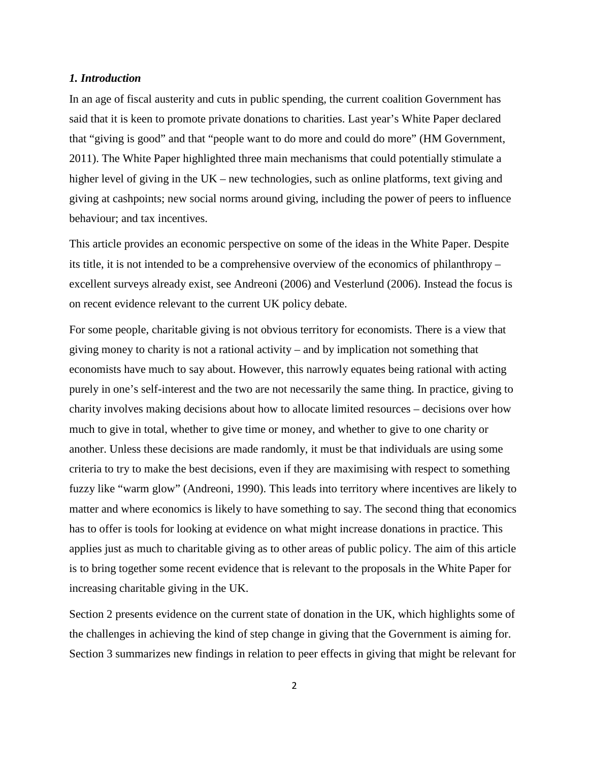### *1. Introduction*

In an age of fiscal austerity and cuts in public spending, the current coalition Government has said that it is keen to promote private donations to charities. Last year's White Paper declared that "giving is good" and that "people want to do more and could do more" (HM Government, 2011). The White Paper highlighted three main mechanisms that could potentially stimulate a higher level of giving in the UK – new technologies, such as online platforms, text giving and giving at cashpoints; new social norms around giving, including the power of peers to influence behaviour; and tax incentives.

This article provides an economic perspective on some of the ideas in the White Paper. Despite its title, it is not intended to be a comprehensive overview of the economics of philanthropy – excellent surveys already exist, see Andreoni (2006) and Vesterlund (2006). Instead the focus is on recent evidence relevant to the current UK policy debate.

For some people, charitable giving is not obvious territory for economists. There is a view that giving money to charity is not a rational activity – and by implication not something that economists have much to say about. However, this narrowly equates being rational with acting purely in one's self-interest and the two are not necessarily the same thing. In practice, giving to charity involves making decisions about how to allocate limited resources – decisions over how much to give in total, whether to give time or money, and whether to give to one charity or another. Unless these decisions are made randomly, it must be that individuals are using some criteria to try to make the best decisions, even if they are maximising with respect to something fuzzy like "warm glow" (Andreoni, 1990). This leads into territory where incentives are likely to matter and where economics is likely to have something to say. The second thing that economics has to offer is tools for looking at evidence on what might increase donations in practice. This applies just as much to charitable giving as to other areas of public policy. The aim of this article is to bring together some recent evidence that is relevant to the proposals in the White Paper for increasing charitable giving in the UK.

Section 2 presents evidence on the current state of donation in the UK, which highlights some of the challenges in achieving the kind of step change in giving that the Government is aiming for. Section 3 summarizes new findings in relation to peer effects in giving that might be relevant for

2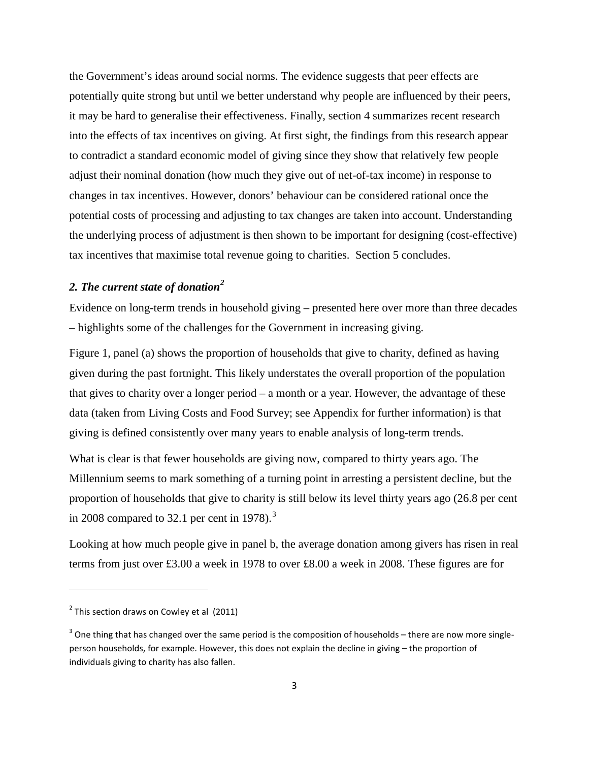the Government's ideas around social norms. The evidence suggests that peer effects are potentially quite strong but until we better understand why people are influenced by their peers, it may be hard to generalise their effectiveness. Finally, section 4 summarizes recent research into the effects of tax incentives on giving. At first sight, the findings from this research appear to contradict a standard economic model of giving since they show that relatively few people adjust their nominal donation (how much they give out of net-of-tax income) in response to changes in tax incentives. However, donors' behaviour can be considered rational once the potential costs of processing and adjusting to tax changes are taken into account. Understanding the underlying process of adjustment is then shown to be important for designing (cost-effective) tax incentives that maximise total revenue going to charities. Section 5 concludes.

# *2. The current state of donation[2](#page-3-0)*

Evidence on long-term trends in household giving – presented here over more than three decades – highlights some of the challenges for the Government in increasing giving.

Figure 1, panel (a) shows the proportion of households that give to charity, defined as having given during the past fortnight. This likely understates the overall proportion of the population that gives to charity over a longer period – a month or a year. However, the advantage of these data (taken from Living Costs and Food Survey; see Appendix for further information) is that giving is defined consistently over many years to enable analysis of long-term trends.

What is clear is that fewer households are giving now, compared to thirty years ago. The Millennium seems to mark something of a turning point in arresting a persistent decline, but the proportion of households that give to charity is still below its level thirty years ago (26.8 per cent in 2008 compared to [3](#page-3-1)2.1 per cent in 1978).<sup>3</sup>

Looking at how much people give in panel b, the average donation among givers has risen in real terms from just over £3.00 a week in 1978 to over £8.00 a week in 2008. These figures are for

 $\overline{\phantom{0}}$ 

<span id="page-3-0"></span> $2$  This section draws on Cowley et al (2011)

<span id="page-3-1"></span> $3$  One thing that has changed over the same period is the composition of households – there are now more singleperson households, for example. However, this does not explain the decline in giving – the proportion of individuals giving to charity has also fallen.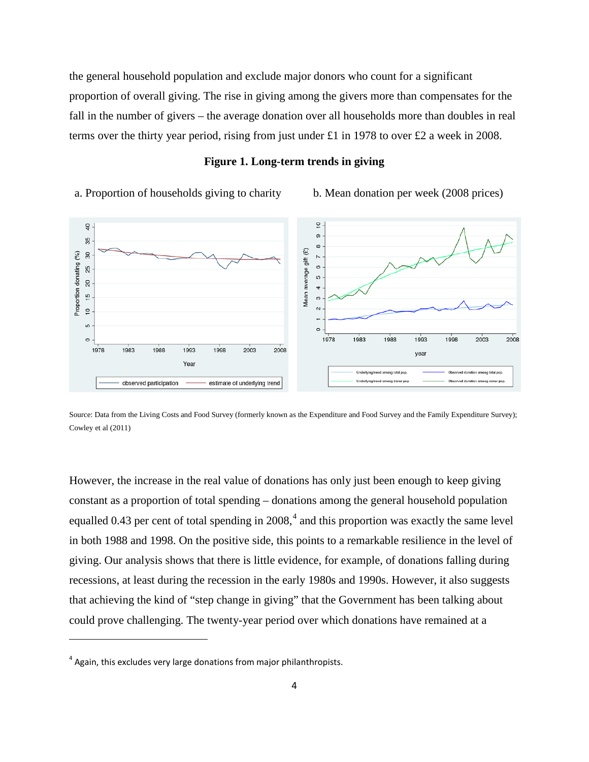the general household population and exclude major donors who count for a significant proportion of overall giving. The rise in giving among the givers more than compensates for the fall in the number of givers – the average donation over all households more than doubles in real terms over the thirty year period, rising from just under £1 in 1978 to over £2 a week in 2008.

## **Figure 1. Long-term trends in giving**

a. Proportion of households giving to charity b. Mean donation per week (2008 prices)



Source: Data from the Living Costs and Food Survey (formerly known as the Expenditure and Food Survey and the Family Expenditure Survey); Cowley et al (2011)

However, the increase in the real value of donations has only just been enough to keep giving constant as a proportion of total spending – donations among the general household population equalled 0.[4](#page-4-0)3 per cent of total spending in  $2008<sup>4</sup>$  and this proportion was exactly the same level in both 1988 and 1998. On the positive side, this points to a remarkable resilience in the level of giving. Our analysis shows that there is little evidence, for example, of donations falling during recessions, at least during the recession in the early 1980s and 1990s. However, it also suggests that achieving the kind of "step change in giving" that the Government has been talking about could prove challenging. The twenty-year period over which donations have remained at a

l

<span id="page-4-0"></span> $4$  Again, this excludes very large donations from major philanthropists.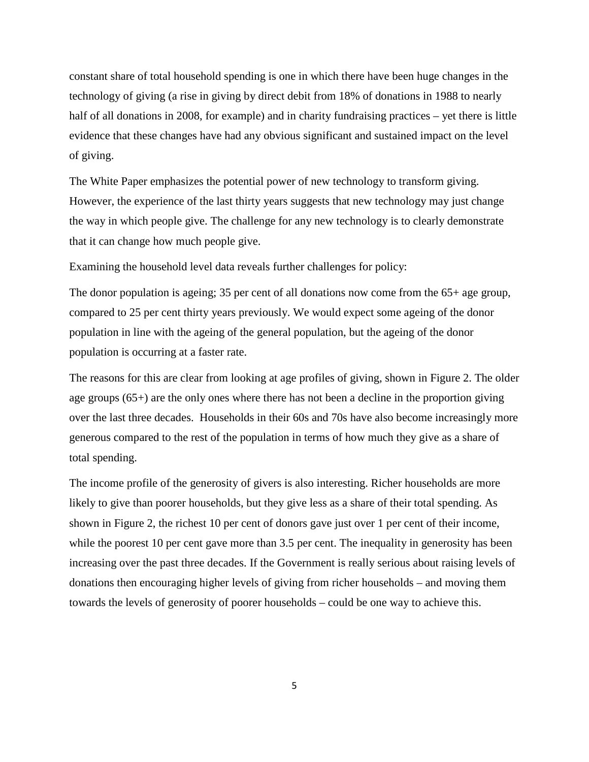constant share of total household spending is one in which there have been huge changes in the technology of giving (a rise in giving by direct debit from 18% of donations in 1988 to nearly half of all donations in 2008, for example) and in charity fundraising practices – yet there is little evidence that these changes have had any obvious significant and sustained impact on the level of giving.

The White Paper emphasizes the potential power of new technology to transform giving. However, the experience of the last thirty years suggests that new technology may just change the way in which people give. The challenge for any new technology is to clearly demonstrate that it can change how much people give.

Examining the household level data reveals further challenges for policy:

The donor population is ageing; 35 per cent of all donations now come from the 65+ age group, compared to 25 per cent thirty years previously. We would expect some ageing of the donor population in line with the ageing of the general population, but the ageing of the donor population is occurring at a faster rate.

The reasons for this are clear from looking at age profiles of giving, shown in Figure 2. The older age groups (65+) are the only ones where there has not been a decline in the proportion giving over the last three decades. Households in their 60s and 70s have also become increasingly more generous compared to the rest of the population in terms of how much they give as a share of total spending.

The income profile of the generosity of givers is also interesting. Richer households are more likely to give than poorer households, but they give less as a share of their total spending. As shown in Figure 2, the richest 10 per cent of donors gave just over 1 per cent of their income, while the poorest 10 per cent gave more than 3.5 per cent. The inequality in generosity has been increasing over the past three decades. If the Government is really serious about raising levels of donations then encouraging higher levels of giving from richer households – and moving them towards the levels of generosity of poorer households – could be one way to achieve this.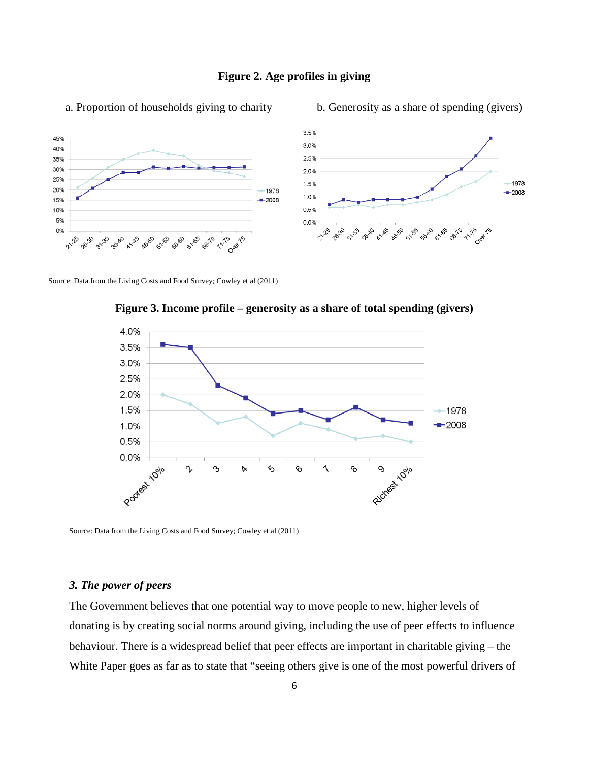



a. Proportion of households giving to charity b. Generosity as a share of spending (givers)

Source: Data from the Living Costs and Food Survey; Cowley et al (2011)



**Figure 3. Income profile – generosity as a share of total spending (givers)** 

Source: Data from the Living Costs and Food Survey; Cowley et al (2011)

### *3. The power of peers*

The Government believes that one potential way to move people to new, higher levels of donating is by creating social norms around giving, including the use of peer effects to influence behaviour. There is a widespread belief that peer effects are important in charitable giving – the White Paper goes as far as to state that "seeing others give is one of the most powerful drivers of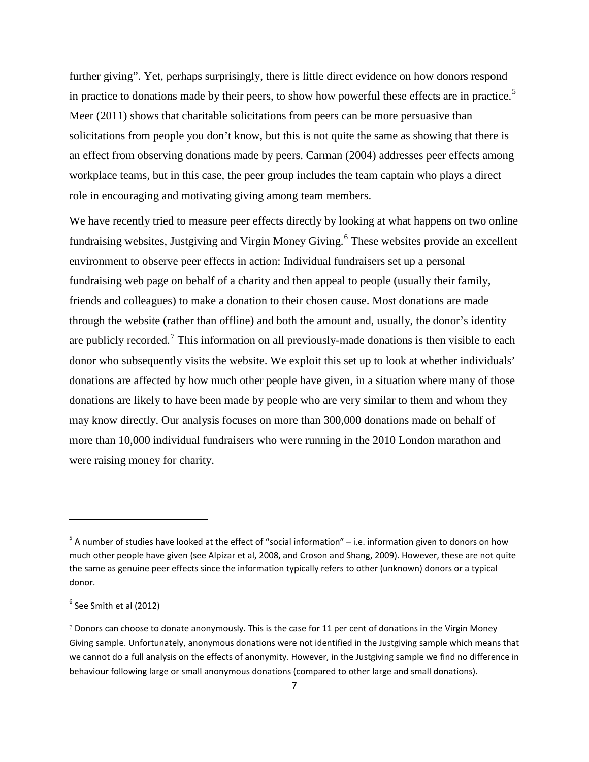further giving". Yet, perhaps surprisingly, there is little direct evidence on how donors respond in practice to donations made by their peers, to show how powerful these effects are in practice.<sup>[5](#page-7-0)</sup> Meer (2011) shows that charitable solicitations from peers can be more persuasive than solicitations from people you don't know, but this is not quite the same as showing that there is an effect from observing donations made by peers. Carman (2004) addresses peer effects among workplace teams, but in this case, the peer group includes the team captain who plays a direct role in encouraging and motivating giving among team members.

We have recently tried to measure peer effects directly by looking at what happens on two online fundraising websites, Justgiving and Virgin Money Giving. [6](#page-7-1) These websites provide an excellent environment to observe peer effects in action: Individual fundraisers set up a personal fundraising web page on behalf of a charity and then appeal to people (usually their family, friends and colleagues) to make a donation to their chosen cause. Most donations are made through the website (rather than offline) and both the amount and, usually, the donor's identity are publicly recorded.<sup>[7](#page-7-2)</sup> This information on all previously-made donations is then visible to each donor who subsequently visits the website. We exploit this set up to look at whether individuals' donations are affected by how much other people have given, in a situation where many of those donations are likely to have been made by people who are very similar to them and whom they may know directly. Our analysis focuses on more than 300,000 donations made on behalf of more than 10,000 individual fundraisers who were running in the 2010 London marathon and were raising money for charity.

ı

<span id="page-7-0"></span> $5$  A number of studies have looked at the effect of "social information" – i.e. information given to donors on how much other people have given (see Alpizar et al, 2008, and Croson and Shang, 2009). However, these are not quite the same as genuine peer effects since the information typically refers to other (unknown) donors or a typical donor.

<span id="page-7-1"></span> $<sup>6</sup>$  See Smith et al (2012)</sup>

<span id="page-7-2"></span><sup>7</sup> Donors can choose to donate anonymously. This is the case for 11 per cent of donations in the Virgin Money Giving sample. Unfortunately, anonymous donations were not identified in the Justgiving sample which means that we cannot do a full analysis on the effects of anonymity. However, in the Justgiving sample we find no difference in behaviour following large or small anonymous donations (compared to other large and small donations).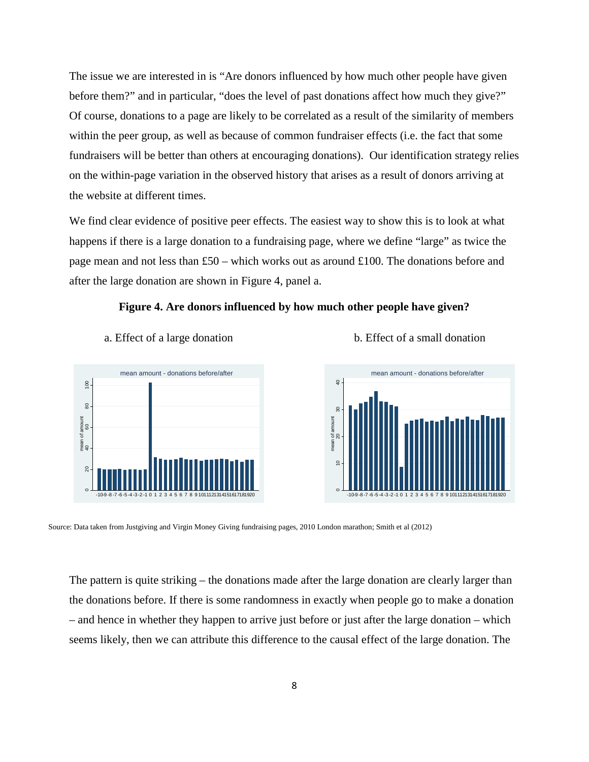The issue we are interested in is "Are donors influenced by how much other people have given before them?" and in particular, "does the level of past donations affect how much they give?" Of course, donations to a page are likely to be correlated as a result of the similarity of members within the peer group, as well as because of common fundraiser effects (i.e. the fact that some fundraisers will be better than others at encouraging donations). Our identification strategy relies on the within-page variation in the observed history that arises as a result of donors arriving at the website at different times.

We find clear evidence of positive peer effects. The easiest way to show this is to look at what happens if there is a large donation to a fundraising page, where we define "large" as twice the page mean and not less than £50 – which works out as around £100. The donations before and after the large donation are shown in Figure 4, panel a.

## **Figure 4. Are donors influenced by how much other people have given?**







Source: Data taken from Justgiving and Virgin Money Giving fundraising pages, 2010 London marathon; Smith et al (2012)

The pattern is quite striking – the donations made after the large donation are clearly larger than the donations before. If there is some randomness in exactly when people go to make a donation – and hence in whether they happen to arrive just before or just after the large donation – which seems likely, then we can attribute this difference to the causal effect of the large donation. The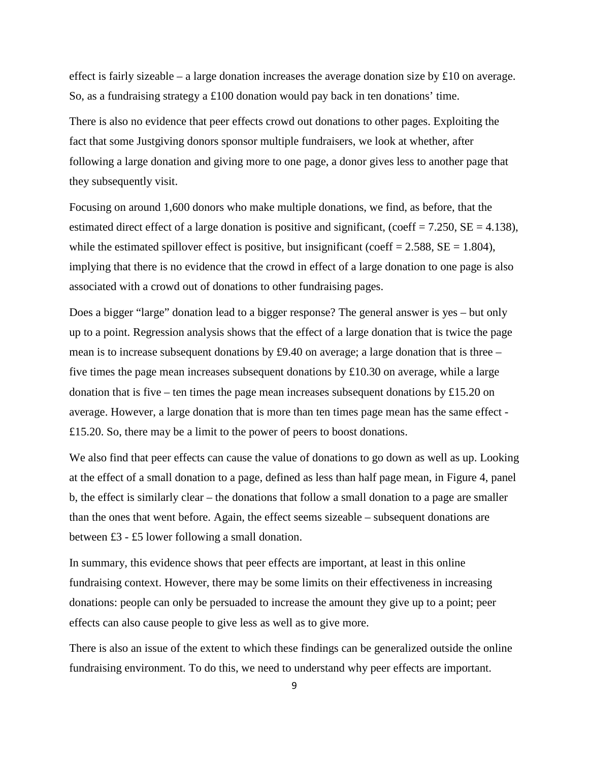effect is fairly sizeable – a large donation increases the average donation size by £10 on average. So, as a fundraising strategy a £100 donation would pay back in ten donations' time.

There is also no evidence that peer effects crowd out donations to other pages. Exploiting the fact that some Justgiving donors sponsor multiple fundraisers, we look at whether, after following a large donation and giving more to one page, a donor gives less to another page that they subsequently visit.

Focusing on around 1,600 donors who make multiple donations, we find, as before, that the estimated direct effect of a large donation is positive and significant, (coeff = 7.250, SE = 4.138), while the estimated spillover effect is positive, but insignificant (coeff  $= 2.588$ ,  $SE = 1.804$ ), implying that there is no evidence that the crowd in effect of a large donation to one page is also associated with a crowd out of donations to other fundraising pages.

Does a bigger "large" donation lead to a bigger response? The general answer is yes – but only up to a point. Regression analysis shows that the effect of a large donation that is twice the page mean is to increase subsequent donations by £9.40 on average; a large donation that is three – five times the page mean increases subsequent donations by  $\text{\pounds}10.30$  on average, while a large donation that is five – ten times the page mean increases subsequent donations by £15.20 on average. However, a large donation that is more than ten times page mean has the same effect - £15.20. So, there may be a limit to the power of peers to boost donations.

We also find that peer effects can cause the value of donations to go down as well as up. Looking at the effect of a small donation to a page, defined as less than half page mean, in Figure 4, panel b, the effect is similarly clear – the donations that follow a small donation to a page are smaller than the ones that went before. Again, the effect seems sizeable – subsequent donations are between £3 - £5 lower following a small donation.

In summary, this evidence shows that peer effects are important, at least in this online fundraising context. However, there may be some limits on their effectiveness in increasing donations: people can only be persuaded to increase the amount they give up to a point; peer effects can also cause people to give less as well as to give more.

There is also an issue of the extent to which these findings can be generalized outside the online fundraising environment. To do this, we need to understand why peer effects are important.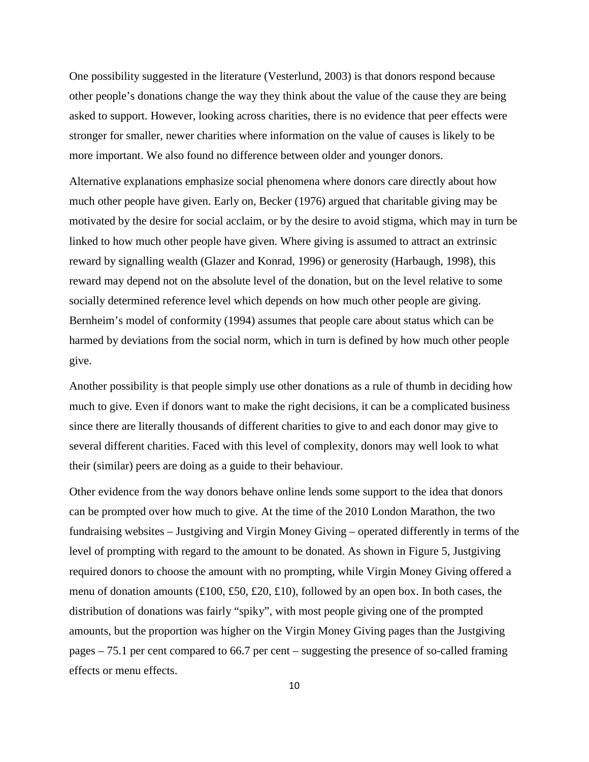One possibility suggested in the literature (Vesterlund, 2003) is that donors respond because other people's donations change the way they think about the value of the cause they are being asked to support. However, looking across charities, there is no evidence that peer effects were stronger for smaller, newer charities where information on the value of causes is likely to be more important. We also found no difference between older and younger donors.

Alternative explanations emphasize social phenomena where donors care directly about how much other people have given. Early on, Becker (1976) argued that charitable giving may be motivated by the desire for social acclaim, or by the desire to avoid stigma, which may in turn be linked to how much other people have given. Where giving is assumed to attract an extrinsic reward by signalling wealth (Glazer and Konrad, 1996) or generosity (Harbaugh, 1998), this reward may depend not on the absolute level of the donation, but on the level relative to some socially determined reference level which depends on how much other people are giving. Bernheim's model of conformity (1994) assumes that people care about status which can be harmed by deviations from the social norm, which in turn is defined by how much other people give.

Another possibility is that people simply use other donations as a rule of thumb in deciding how much to give. Even if donors want to make the right decisions, it can be a complicated business since there are literally thousands of different charities to give to and each donor may give to several different charities. Faced with this level of complexity, donors may well look to what their (similar) peers are doing as a guide to their behaviour.

Other evidence from the way donors behave online lends some support to the idea that donors can be prompted over how much to give. At the time of the 2010 London Marathon, the two fundraising websites – Justgiving and Virgin Money Giving – operated differently in terms of the level of prompting with regard to the amount to be donated. As shown in Figure 5, Justgiving required donors to choose the amount with no prompting, while Virgin Money Giving offered a menu of donation amounts (£100, £50, £20, £10), followed by an open box. In both cases, the distribution of donations was fairly "spiky", with most people giving one of the prompted amounts, but the proportion was higher on the Virgin Money Giving pages than the Justgiving pages – 75.1 per cent compared to 66.7 per cent – suggesting the presence of so-called framing effects or menu effects.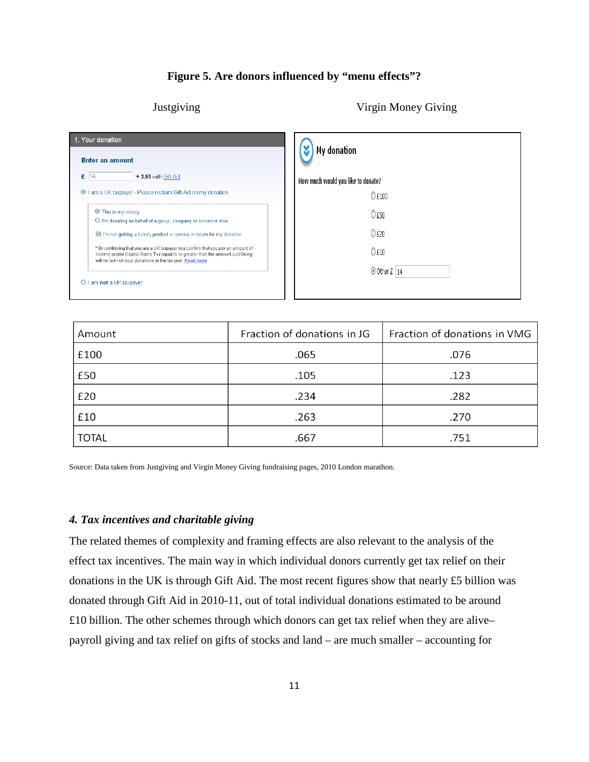# **Figure 5. Are donors influenced by "menu effects"?**

### Justgiving Virgin Money Giving

| 1. Your donation<br><b>Enter an amount</b>                                                                                                                         | My donation                        |
|--------------------------------------------------------------------------------------------------------------------------------------------------------------------|------------------------------------|
| $£$ 14<br>+3.95 with Gift Aid                                                                                                                                      | How much would you like to donate? |
| I am a UK taxpayer - Please reclaim Gift Aid on my donation                                                                                                        | OE100                              |
| $\odot$ This is my money<br>O I'm donating on behalf of a group, company or someone else                                                                           | $O$ £50                            |
| I'm not getting a ticket, product or service in return for my donation                                                                                             | OE20                               |
| * By confirming that you are a UK taxpayer you confirm that you pay an amount of<br>income and/or Capital Gains Tax equal to or greater than the amount JustGiving | OE10                               |
| will reclaim on your donations in the tax year. Read more                                                                                                          | O Other £  14                      |
| O I am not a UK taxpayer                                                                                                                                           |                                    |

| Amount       | Fraction of donations in JG | Fraction of donations in VMG |
|--------------|-----------------------------|------------------------------|
| £100         | .065                        | .076                         |
| £50          | .105                        | .123                         |
| £20          | .234                        | .282                         |
| £10          | .263                        | .270                         |
| <b>TOTAL</b> | .667                        | .751                         |

Source: Data taken from Justgiving and Virgin Money Giving fundraising pages, 2010 London marathon.

### *4. Tax incentives and charitable giving*

The related themes of complexity and framing effects are also relevant to the analysis of the effect tax incentives. The main way in which individual donors currently get tax relief on their donations in the UK is through Gift Aid. The most recent figures show that nearly £5 billion was donated through Gift Aid in 2010-11, out of total individual donations estimated to be around £10 billion. The other schemes through which donors can get tax relief when they are alive– payroll giving and tax relief on gifts of stocks and land – are much smaller – accounting for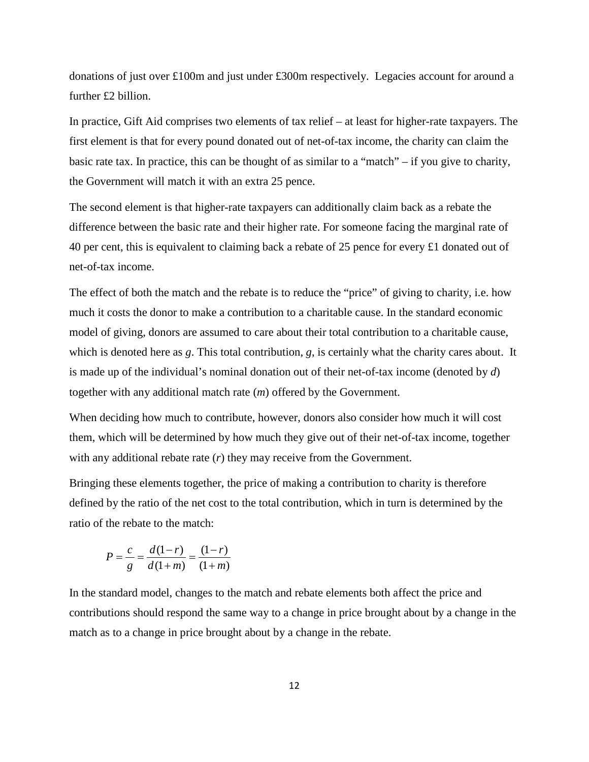donations of just over £100m and just under £300m respectively. Legacies account for around a further £2 billion.

In practice, Gift Aid comprises two elements of tax relief – at least for higher-rate taxpayers. The first element is that for every pound donated out of net-of-tax income, the charity can claim the basic rate tax. In practice, this can be thought of as similar to a "match" – if you give to charity, the Government will match it with an extra 25 pence.

The second element is that higher-rate taxpayers can additionally claim back as a rebate the difference between the basic rate and their higher rate. For someone facing the marginal rate of 40 per cent, this is equivalent to claiming back a rebate of 25 pence for every £1 donated out of net-of-tax income.

The effect of both the match and the rebate is to reduce the "price" of giving to charity, i.e. how much it costs the donor to make a contribution to a charitable cause. In the standard economic model of giving, donors are assumed to care about their total contribution to a charitable cause, which is denoted here as *g*. This total contribution, *g*, is certainly what the charity cares about. It is made up of the individual's nominal donation out of their net-of-tax income (denoted by *d*) together with any additional match rate (*m*) offered by the Government.

When deciding how much to contribute, however, donors also consider how much it will cost them, which will be determined by how much they give out of their net-of-tax income, together with any additional rebate rate (*r*) they may receive from the Government.

Bringing these elements together, the price of making a contribution to charity is therefore defined by the ratio of the net cost to the total contribution, which in turn is determined by the ratio of the rebate to the match:

$$
P = \frac{c}{g} = \frac{d(1-r)}{d(1+m)} = \frac{(1-r)}{(1+m)}
$$

In the standard model, changes to the match and rebate elements both affect the price and contributions should respond the same way to a change in price brought about by a change in the match as to a change in price brought about by a change in the rebate.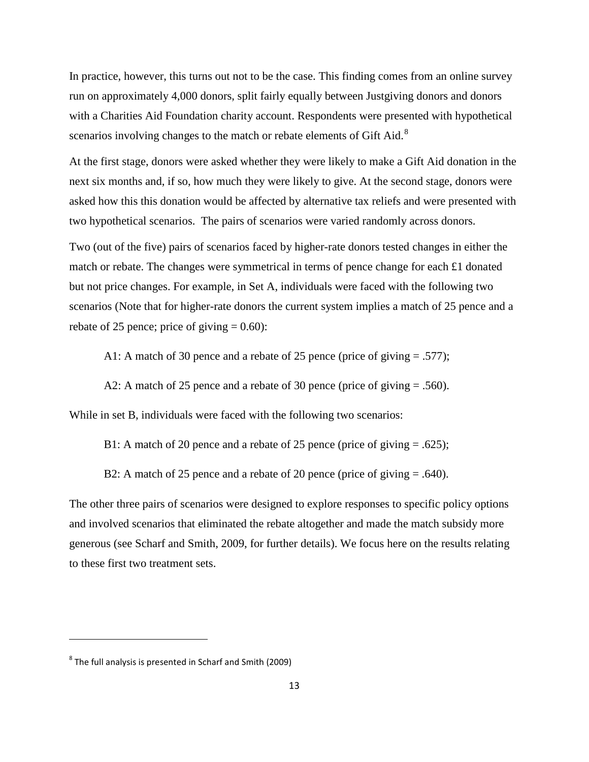In practice, however, this turns out not to be the case. This finding comes from an online survey run on approximately 4,000 donors, split fairly equally between Justgiving donors and donors with a Charities Aid Foundation charity account. Respondents were presented with hypothetical scenarios involving changes to the match or rebate elements of Gift Aid.<sup>[8](#page-13-0)</sup>

At the first stage, donors were asked whether they were likely to make a Gift Aid donation in the next six months and, if so, how much they were likely to give. At the second stage, donors were asked how this this donation would be affected by alternative tax reliefs and were presented with two hypothetical scenarios. The pairs of scenarios were varied randomly across donors.

Two (out of the five) pairs of scenarios faced by higher-rate donors tested changes in either the match or rebate. The changes were symmetrical in terms of pence change for each £1 donated but not price changes. For example, in Set A, individuals were faced with the following two scenarios (Note that for higher-rate donors the current system implies a match of 25 pence and a rebate of 25 pence; price of giving  $= 0.60$ :

A1: A match of 30 pence and a rebate of 25 pence (price of giving = .577);

A2: A match of 25 pence and a rebate of 30 pence (price of giving = .560).

While in set B, individuals were faced with the following two scenarios:

B1: A match of 20 pence and a rebate of 25 pence (price of giving  $= .625$ );

B2: A match of 25 pence and a rebate of 20 pence (price of giving  $= .640$ ).

The other three pairs of scenarios were designed to explore responses to specific policy options and involved scenarios that eliminated the rebate altogether and made the match subsidy more generous (see Scharf and Smith, 2009, for further details). We focus here on the results relating to these first two treatment sets.

l

<span id="page-13-0"></span> $8$  The full analysis is presented in Scharf and Smith (2009)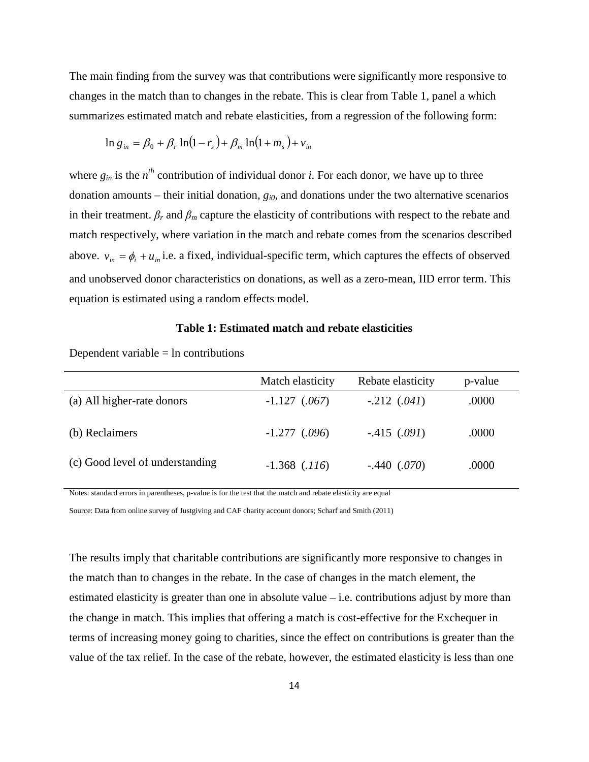The main finding from the survey was that contributions were significantly more responsive to changes in the match than to changes in the rebate. This is clear from Table 1, panel a which summarizes estimated match and rebate elasticities, from a regression of the following form:

$$
\ln g_{in} = \beta_0 + \beta_r \ln(1 - r_s) + \beta_m \ln(1 + m_s) + v_{in}
$$

where  $g_{in}$  is the  $n^{th}$  contribution of individual donor *i*. For each donor, we have up to three donation amounts – their initial donation, *gi0*, and donations under the two alternative scenarios in their treatment.  $\beta_r$  and  $\beta_m$  capture the elasticity of contributions with respect to the rebate and match respectively, where variation in the match and rebate comes from the scenarios described above.  $v_{in} = \phi_i + u_{in}$  *i.e.* a fixed, individual-specific term, which captures the effects of observed and unobserved donor characteristics on donations, as well as a zero-mean, IID error term. This equation is estimated using a random effects model.

# **Table 1: Estimated match and rebate elasticities**

Dependent variable  $=$  ln contributions

|                                 | Match elasticity  | Rebate elasticity | p-value |
|---------------------------------|-------------------|-------------------|---------|
| (a) All higher-rate donors      | $-1.127$ (.067)   | $-.212$ $(.041)$  | .0000   |
| (b) Reclaimers                  | $-1.277$ (.096)   | $-.415$ (.091)    | .0000   |
| (c) Good level of understanding | $-1.368$ $(.116)$ | $-.440$ $(.070)$  | .0000   |

Notes: standard errors in parentheses, p-value is for the test that the match and rebate elasticity are equal

Source: Data from online survey of Justgiving and CAF charity account donors; Scharf and Smith (2011)

The results imply that charitable contributions are significantly more responsive to changes in the match than to changes in the rebate. In the case of changes in the match element, the estimated elasticity is greater than one in absolute value – i.e. contributions adjust by more than the change in match. This implies that offering a match is cost-effective for the Exchequer in terms of increasing money going to charities, since the effect on contributions is greater than the value of the tax relief. In the case of the rebate, however, the estimated elasticity is less than one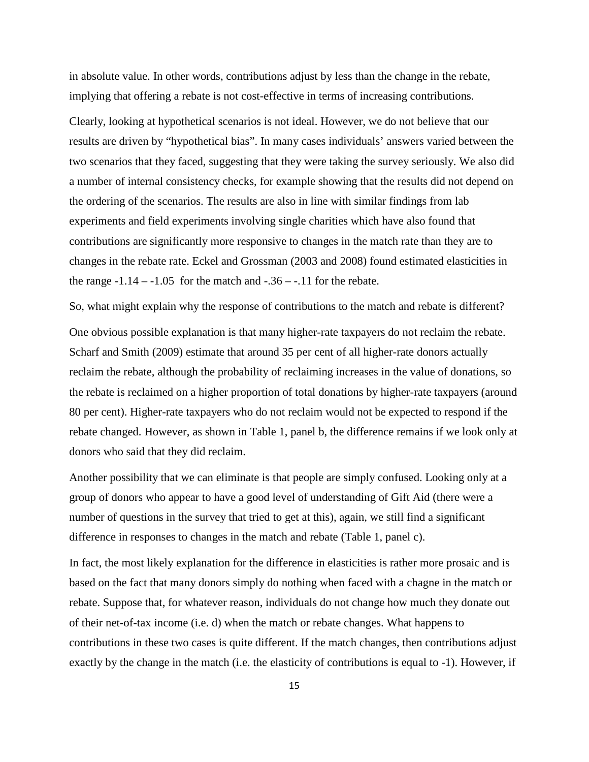in absolute value. In other words, contributions adjust by less than the change in the rebate, implying that offering a rebate is not cost-effective in terms of increasing contributions.

Clearly, looking at hypothetical scenarios is not ideal. However, we do not believe that our results are driven by "hypothetical bias". In many cases individuals' answers varied between the two scenarios that they faced, suggesting that they were taking the survey seriously. We also did a number of internal consistency checks, for example showing that the results did not depend on the ordering of the scenarios. The results are also in line with similar findings from lab experiments and field experiments involving single charities which have also found that contributions are significantly more responsive to changes in the match rate than they are to changes in the rebate rate. Eckel and Grossman (2003 and 2008) found estimated elasticities in the range  $-1.14 - 1.05$  for the match and  $-.36 - .11$  for the rebate.

So, what might explain why the response of contributions to the match and rebate is different? One obvious possible explanation is that many higher-rate taxpayers do not reclaim the rebate. Scharf and Smith (2009) estimate that around 35 per cent of all higher-rate donors actually reclaim the rebate, although the probability of reclaiming increases in the value of donations, so the rebate is reclaimed on a higher proportion of total donations by higher-rate taxpayers (around 80 per cent). Higher-rate taxpayers who do not reclaim would not be expected to respond if the rebate changed. However, as shown in Table 1, panel b, the difference remains if we look only at donors who said that they did reclaim.

Another possibility that we can eliminate is that people are simply confused. Looking only at a group of donors who appear to have a good level of understanding of Gift Aid (there were a number of questions in the survey that tried to get at this), again, we still find a significant difference in responses to changes in the match and rebate (Table 1, panel c).

In fact, the most likely explanation for the difference in elasticities is rather more prosaic and is based on the fact that many donors simply do nothing when faced with a chagne in the match or rebate. Suppose that, for whatever reason, individuals do not change how much they donate out of their net-of-tax income (i.e. d) when the match or rebate changes. What happens to contributions in these two cases is quite different. If the match changes, then contributions adjust exactly by the change in the match (i.e. the elasticity of contributions is equal to -1). However, if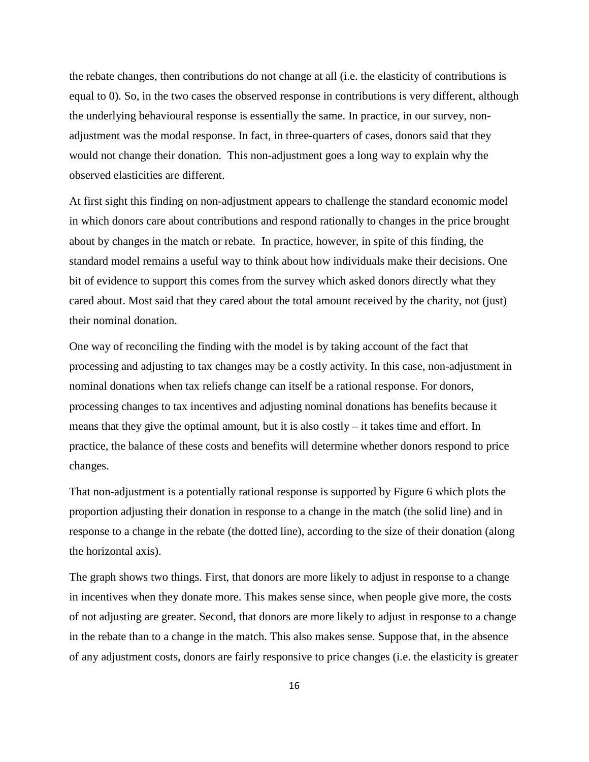the rebate changes, then contributions do not change at all (i.e. the elasticity of contributions is equal to 0). So, in the two cases the observed response in contributions is very different, although the underlying behavioural response is essentially the same. In practice, in our survey, nonadjustment was the modal response. In fact, in three-quarters of cases, donors said that they would not change their donation. This non-adjustment goes a long way to explain why the observed elasticities are different.

At first sight this finding on non-adjustment appears to challenge the standard economic model in which donors care about contributions and respond rationally to changes in the price brought about by changes in the match or rebate. In practice, however, in spite of this finding, the standard model remains a useful way to think about how individuals make their decisions. One bit of evidence to support this comes from the survey which asked donors directly what they cared about. Most said that they cared about the total amount received by the charity, not (just) their nominal donation.

One way of reconciling the finding with the model is by taking account of the fact that processing and adjusting to tax changes may be a costly activity. In this case, non-adjustment in nominal donations when tax reliefs change can itself be a rational response. For donors, processing changes to tax incentives and adjusting nominal donations has benefits because it means that they give the optimal amount, but it is also costly – it takes time and effort. In practice, the balance of these costs and benefits will determine whether donors respond to price changes.

That non-adjustment is a potentially rational response is supported by Figure 6 which plots the proportion adjusting their donation in response to a change in the match (the solid line) and in response to a change in the rebate (the dotted line), according to the size of their donation (along the horizontal axis).

The graph shows two things. First, that donors are more likely to adjust in response to a change in incentives when they donate more. This makes sense since, when people give more, the costs of not adjusting are greater. Second, that donors are more likely to adjust in response to a change in the rebate than to a change in the match. This also makes sense. Suppose that, in the absence of any adjustment costs, donors are fairly responsive to price changes (i.e. the elasticity is greater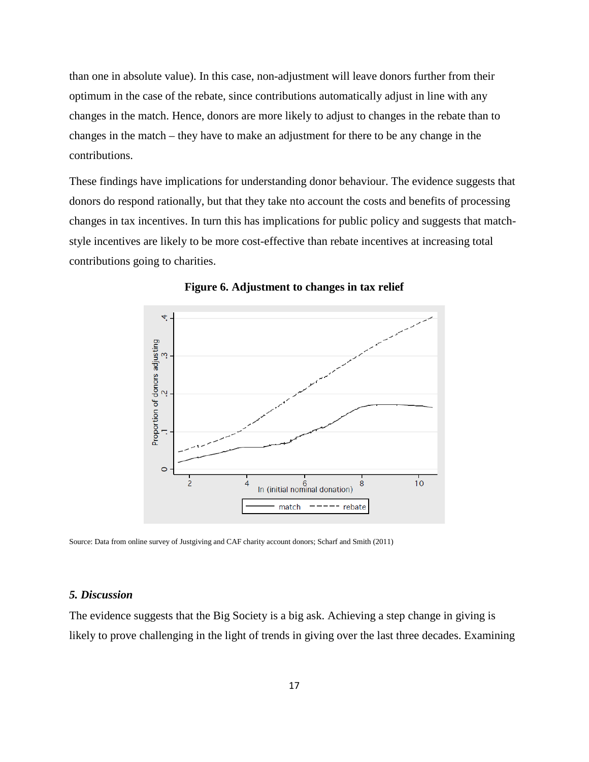than one in absolute value). In this case, non-adjustment will leave donors further from their optimum in the case of the rebate, since contributions automatically adjust in line with any changes in the match. Hence, donors are more likely to adjust to changes in the rebate than to changes in the match – they have to make an adjustment for there to be any change in the contributions.

These findings have implications for understanding donor behaviour. The evidence suggests that donors do respond rationally, but that they take nto account the costs and benefits of processing changes in tax incentives. In turn this has implications for public policy and suggests that matchstyle incentives are likely to be more cost-effective than rebate incentives at increasing total contributions going to charities.



**Figure 6. Adjustment to changes in tax relief**

Source: Data from online survey of Justgiving and CAF charity account donors; Scharf and Smith (2011)

## *5. Discussion*

The evidence suggests that the Big Society is a big ask. Achieving a step change in giving is likely to prove challenging in the light of trends in giving over the last three decades. Examining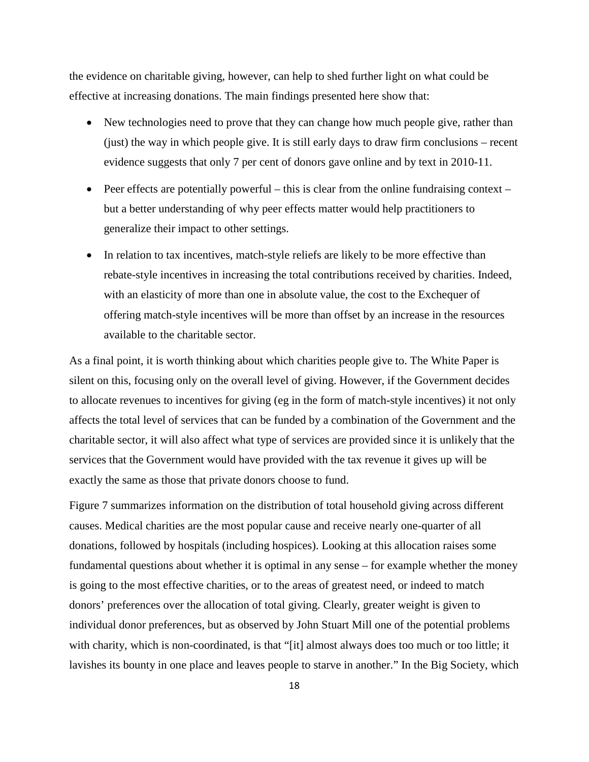the evidence on charitable giving, however, can help to shed further light on what could be effective at increasing donations. The main findings presented here show that:

- New technologies need to prove that they can change how much people give, rather than (just) the way in which people give. It is still early days to draw firm conclusions – recent evidence suggests that only 7 per cent of donors gave online and by text in 2010-11.
- Peer effects are potentially powerful this is clear from the online fundraising context but a better understanding of why peer effects matter would help practitioners to generalize their impact to other settings.
- In relation to tax incentives, match-style reliefs are likely to be more effective than rebate-style incentives in increasing the total contributions received by charities. Indeed, with an elasticity of more than one in absolute value, the cost to the Exchequer of offering match-style incentives will be more than offset by an increase in the resources available to the charitable sector.

As a final point, it is worth thinking about which charities people give to. The White Paper is silent on this, focusing only on the overall level of giving. However, if the Government decides to allocate revenues to incentives for giving (eg in the form of match-style incentives) it not only affects the total level of services that can be funded by a combination of the Government and the charitable sector, it will also affect what type of services are provided since it is unlikely that the services that the Government would have provided with the tax revenue it gives up will be exactly the same as those that private donors choose to fund.

Figure 7 summarizes information on the distribution of total household giving across different causes. Medical charities are the most popular cause and receive nearly one-quarter of all donations, followed by hospitals (including hospices). Looking at this allocation raises some fundamental questions about whether it is optimal in any sense – for example whether the money is going to the most effective charities, or to the areas of greatest need, or indeed to match donors' preferences over the allocation of total giving. Clearly, greater weight is given to individual donor preferences, but as observed by John Stuart Mill one of the potential problems with charity, which is non-coordinated, is that "[it] almost always does too much or too little; it lavishes its bounty in one place and leaves people to starve in another." In the Big Society, which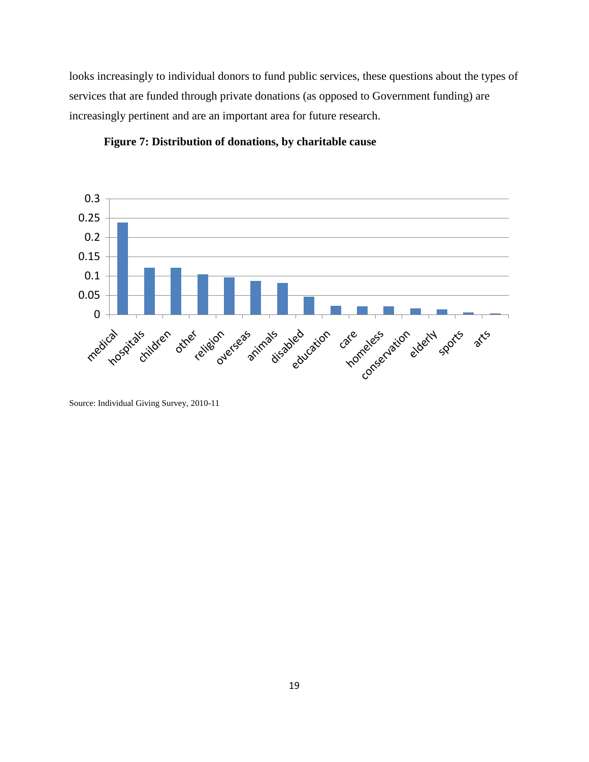looks increasingly to individual donors to fund public services, these questions about the types of services that are funded through private donations (as opposed to Government funding) are increasingly pertinent and are an important area for future research.





Source: Individual Giving Survey, 2010-11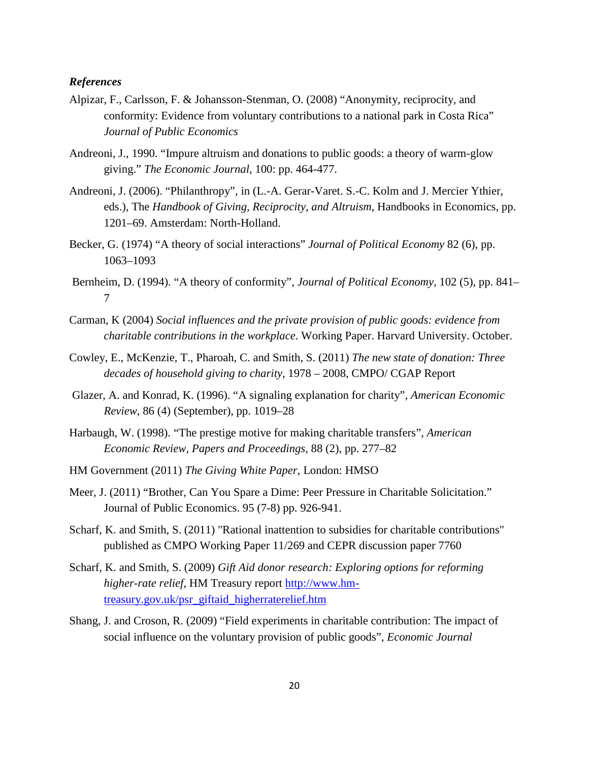# *References*

- Alpizar, F., Carlsson, F. & Johansson-Stenman, O. (2008) "Anonymity, reciprocity, and conformity: Evidence from voluntary contributions to a national park in Costa Rica" *Journal of Public Economics*
- Andreoni, J., 1990. "Impure altruism and donations to public goods: a theory of warm-glow giving." *The Economic Journal*, 100: pp. 464-477.
- Andreoni, J. (2006). "Philanthropy", in (L.-A. Gerar-Varet. S.-C. Kolm and J. Mercier Ythier, eds.), The *Handbook of Giving, Reciprocity, and Altruism*, Handbooks in Economics, pp. 1201–69. Amsterdam: North-Holland .
- Becker, G. (1974) "A theory of social interactions" *Journal of Political Economy* 82 (6), pp. 1063–1093
- Bernheim, D. (1994). "A theory of conformity", *Journal of Political Economy,* 102 (5), pp. 841– 7
- Carman, K (2004) *Social influences and the private provision of public goods: evidence from charitable contributions in the workplace*. Working Paper. Harvard University. October.
- Cowley, E., McKenzie, T., Pharoah, C. and Smith, S. (2011) *The new state of donation: Three decades of household giving to charity*, 1978 – 2008, CMPO/ CGAP Report
- Glazer, A. and Konrad, K. (1996). "A signaling explanation for charity", *American Economic Review*, 86 (4) (September), pp. 1019–28
- Harbaugh, W. (1998). "The prestige motive for making charitable transfers", *American Economic Review, Papers and Proceedings*, 88 (2), pp. 277– 82
- HM Government (2011) *The Giving White Paper*, London: HMSO
- Meer, J. (2011) "Brother, Can You Spare a Dime: Peer Pressure in Charitable Solicitation." Journal of Public Economics. 95 (7-8) pp. 926-941.
- Scharf, K. and Smith, S. (2011) "Rational inattention to subsidies for charitable contributions" published as CMPO Working Paper 11/269 and CEPR discussion paper 7760
- Scharf, K. and Smith, S. (2009) *Gift Aid donor research: Exploring options for reforming higher-rate relief*, HM Treasury report [http://www.hm](http://www.hm-treasury.gov.uk/psr_giftaid_higherraterelief.htm)[treasury.gov.uk/psr\\_giftaid\\_higherraterelief.htm](http://www.hm-treasury.gov.uk/psr_giftaid_higherraterelief.htm)
- Shang, J. and Croson, R. (2009) "Field experiments in charitable contribution: The impact of social influence on the voluntary provision of public goods", *Economic Journal*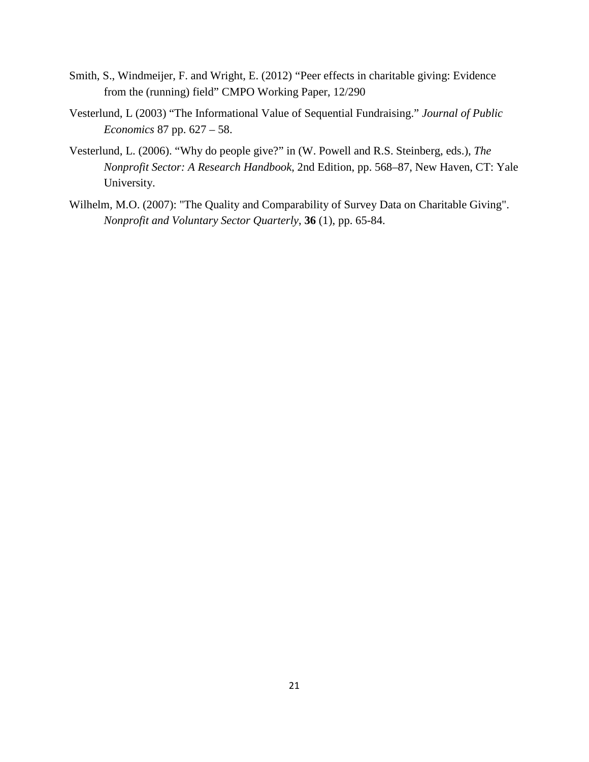- Smith, S., Windmeijer, F. and Wright, E. (2012) "Peer effects in charitable giving: Evidence from the (running) field" CMPO Working Paper, 12/290
- Vesterlund, L (2003) "The Informational Value of Sequential Fundraising." *Journal of Public Economics* 87 pp. 627 – 58.
- Vesterlund, L. (2006). "Why do people give?" in (W. Powell and R.S. Steinberg, eds.), *The Nonprofit Sector: A Research Handbook*, 2nd Edition, pp. 568–87, New Haven, CT: Yale University .
- Wilhelm, M.O. (2007): "The Quality and Comparability of Survey Data on Charitable Giving". *Nonprofit and Voluntary Sector Quarterly*, **36** (1), pp. 65-84.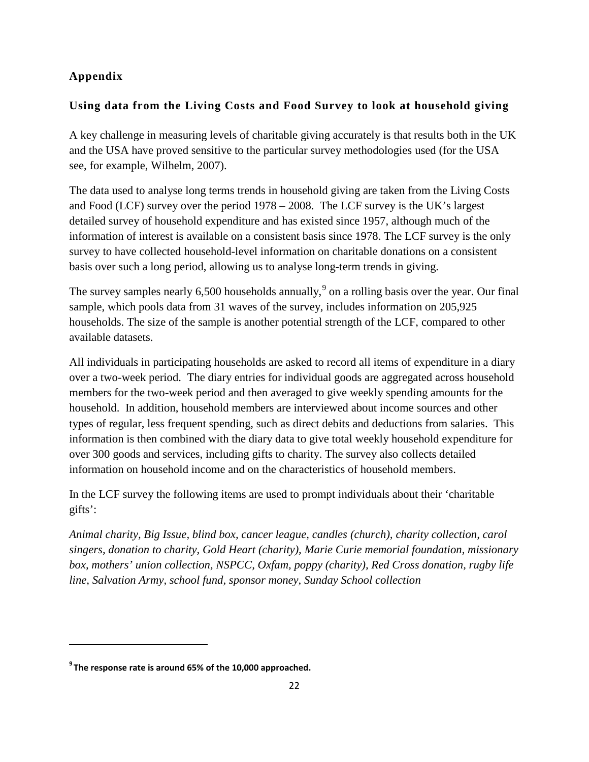# **Appendix**

# **Using data from the Living Costs and Food Survey to look at household giving**

A key challenge in measuring levels of charitable giving accurately is that results both in the UK and the USA have proved sensitive to the particular survey methodologies used (for the USA see, for example, Wilhelm, 2007).

The data used to analyse long terms trends in household giving are taken from the Living Costs and Food (LCF) survey over the period 1978 – 2008. The LCF survey is the UK's largest detailed survey of household expenditure and has existed since 1957, although much of the information of interest is available on a consistent basis since 1978. The LCF survey is the only survey to have collected household-level information on charitable donations on a consistent basis over such a long period, allowing us to analyse long-term trends in giving.

The survey samples nearly 6,500 households annually,  $9$  on a rolling basis over the year. Our final sample, which pools data from 31 waves of the survey, includes information on 205,925 households. The size of the sample is another potential strength of the LCF, compared to other available datasets.

All individuals in participating households are asked to record all items of expenditure in a diary over a two-week period. The diary entries for individual goods are aggregated across household members for the two-week period and then averaged to give weekly spending amounts for the household. In addition, household members are interviewed about income sources and other types of regular, less frequent spending, such as direct debits and deductions from salaries. This information is then combined with the diary data to give total weekly household expenditure for over 300 goods and services, including gifts to charity. The survey also collects detailed information on household income and on the characteristics of household members.

In the LCF survey the following items are used to prompt individuals about their 'charitable gifts':

*Animal charity, Big Issue, blind box, cancer league, candles (church), charity collection, carol singers, donation to charity, Gold Heart (charity), Marie Curie memorial foundation, missionary box, mothers' union collection, NSPCC, Oxfam, poppy (charity), Red Cross donation, rugby life line, Salvation Army, school fund, sponsor money, Sunday School collection*

ı

<span id="page-22-0"></span>**<sup>9</sup> The response rate is around 65% of the 10,000 approached.**